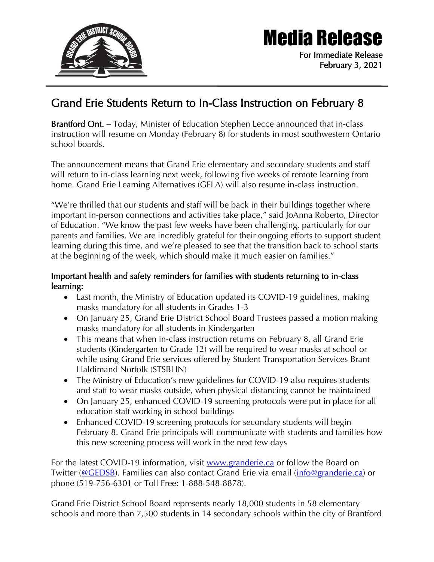

## Media Release

For Immediate Release February 3, 2021

## Grand Erie Students Return to In-Class Instruction on February 8

Brantford Ont. – Today, Minister of Education Stephen Lecce announced that in-class instruction will resume on Monday (February 8) for students in most southwestern Ontario school boards.

The announcement means that Grand Erie elementary and secondary students and staff will return to in-class learning next week, following five weeks of remote learning from home. Grand Erie Learning Alternatives (GELA) will also resume in-class instruction.

"We're thrilled that our students and staff will be back in their buildings together where important in-person connections and activities take place," said JoAnna Roberto, Director of Education. "We know the past few weeks have been challenging, particularly for our parents and families. We are incredibly grateful for their ongoing efforts to support student learning during this time, and we're pleased to see that the transition back to school starts at the beginning of the week, which should make it much easier on families."

## Important health and safety reminders for families with students returning to in-class learning:

- Last month, the Ministry of Education updated its COVID-19 guidelines, making masks mandatory for all students in Grades 1-3
- On January 25, Grand Erie District School Board Trustees passed a motion making masks mandatory for all students in Kindergarten
- This means that when in-class instruction returns on February 8, all Grand Erie students (Kindergarten to Grade 12) will be required to wear masks at school or while using Grand Erie services offered by Student Transportation Services Brant Haldimand Norfolk (STSBHN)
- The Ministry of Education's new guidelines for COVID-19 also requires students and staff to wear masks outside, when physical distancing cannot be maintained
- On January 25, enhanced COVID-19 screening protocols were put in place for all education staff working in school buildings
- Enhanced COVID-19 screening protocols for secondary students will begin February 8. Grand Erie principals will communicate with students and families how this new screening process will work in the next few days

For the latest COVID-19 information, visit [www.granderie.ca](http://www.granderie.ca/) or follow the Board on Twitter [\(@GEDSB\)](https://twitter.com/GEDSB). Families can also contact Grand Erie via email [\(info@granderie.ca\)](mailto:info@granderie.ca) or phone (519-756-6301 or Toll Free: 1-888-548-8878).

Grand Erie District School Board represents nearly 18,000 students in 58 elementary schools and more than 7,500 students in 14 secondary schools within the city of Brantford